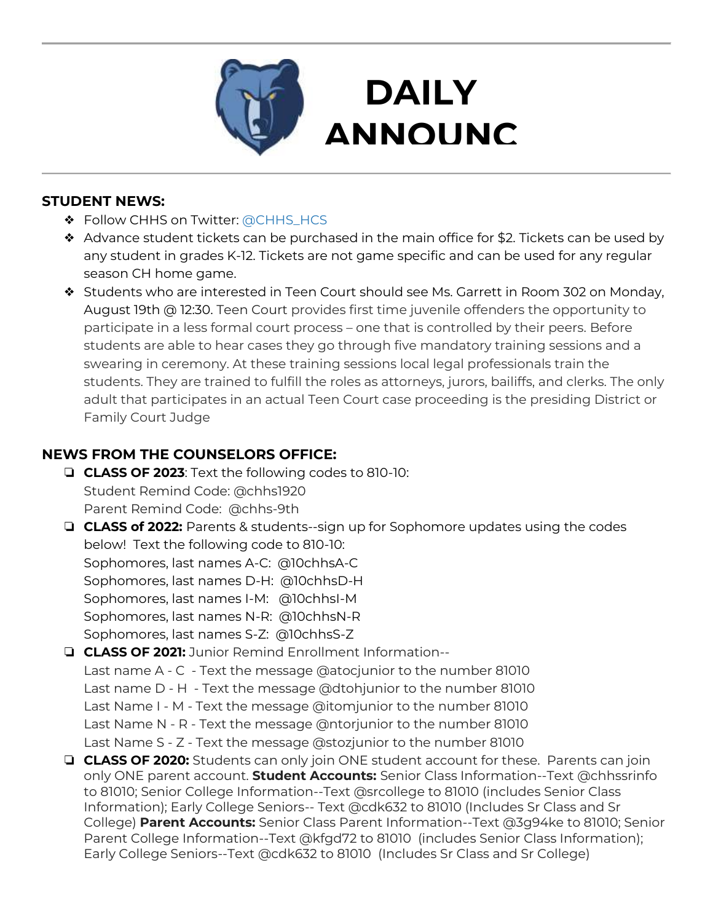

# **DAILY ANNOUNC**

**EMENTS AND STRUCK SERVICES** 

### **STUDENT NEWS:**

- ❖ Follow CHHS on Twitter: [@CHHS\\_HCS](https://twitter.com/CHHS_HCS)
- ❖ Advance student tickets can be purchased in the main office for \$2. Tickets can be used by any student in grades K-12. Tickets are not game specific and can be used for any regular season CH home game.
- ❖ Students who are interested in Teen Court should see Ms. Garrett in Room 302 on Monday, August 19th @ 12:30. Teen Court provides first time juvenile offenders the opportunity to participate in a less formal court process – one that is controlled by their peers. Before students are able to hear cases they go through five mandatory training sessions and a swearing in ceremony. At these training sessions local legal professionals train the students. They are trained to fulfill the roles as attorneys, jurors, bailiffs, and clerks. The only adult that participates in an actual Teen Court case proceeding is the presiding District or Family Court Judge

## **NEWS FROM THE COUNSELORS OFFICE:**

- ❏ **CLASS OF 2023**: Text the following codes to 810-10: Student Remind Code: @chhs1920 Parent Remind Code: @chhs-9th
- ❏ **CLASS of 2022:** Parents & students--sign up for Sophomore updates using the codes below! Text the following code to 810-10: Sophomores, last names A-C: @10chhsA-C Sophomores, last names D-H: @10chhsD-H Sophomores, last names I-M: @10chhsI-M Sophomores, last names N-R: @10chhsN-R Sophomores, last names S-Z: @10chhsS-Z
- ❏ **CLASS OF 2021:** Junior Remind Enrollment Information-- Last name A - C - Text the message @atocjunior to the number 81010 Last name D - H - Text the message @dtohjunior to the number 81010 Last Name I - M - Text the message @itomjunior to the number 81010 Last Name N - R - Text the message @ntorjunior to the number 81010 Last Name S - Z - Text the message @stozjunior to the number 81010
- ❏ **CLASS OF 2020:** Students can only join ONE student account for these. Parents can join only ONE parent account. **Student Accounts:** Senior Class Information--Text @chhssrinfo to 81010; Senior College Information--Text @srcollege to 81010 (includes Senior Class Information); Early College Seniors-- Text @cdk632 to 81010 (Includes Sr Class and Sr College) **Parent Accounts:** Senior Class Parent Information--Text @3g94ke to 81010; Senior Parent College Information--Text @kfgd72 to 81010 (includes Senior Class Information); Early College Seniors--Text @cdk632 to 81010 (Includes Sr Class and Sr College)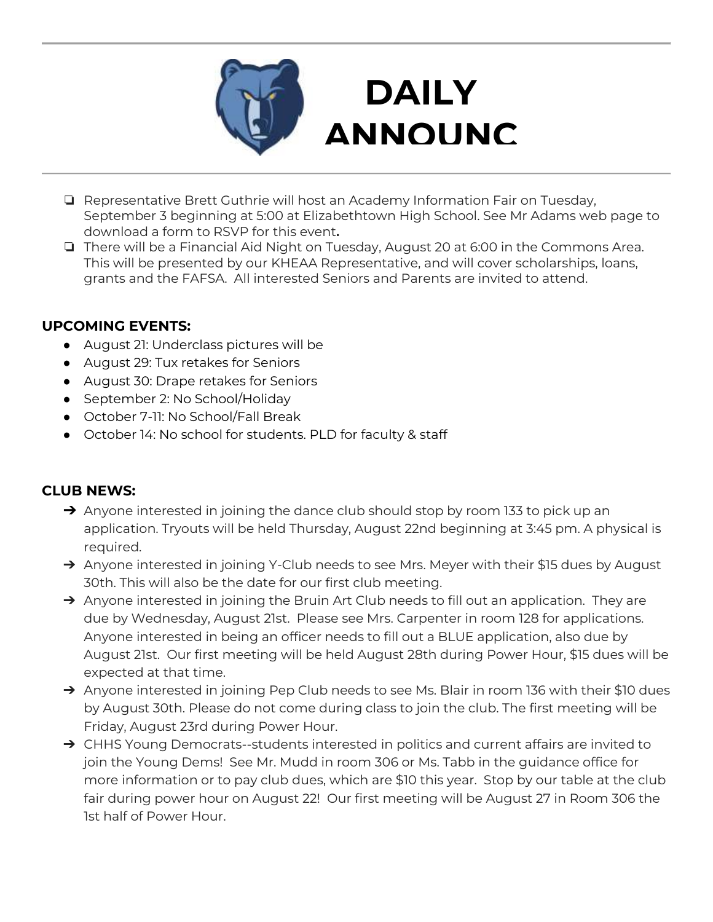

# **DAILY ANNOUNC**

- **EMENTS** ❏ Representative Brett Guthrie will host an Academy Information Fair on Tuesday, September 3 beginning at 5:00 at Elizabethtown High School. See Mr Adams web page to download a form to RSVP for this event**.**
- ❏ There will be a Financial Aid Night on Tuesday, August 20 at 6:00 in the Commons Area. This will be presented by our KHEAA Representative, and will cover scholarships, loans, grants and the FAFSA. All interested Seniors and Parents are invited to attend.

### **UPCOMING EVENTS:**

- August 21: Underclass pictures will be
- August 29: Tux retakes for Seniors
- August 30: Drape retakes for Seniors
- September 2: No School/Holiday
- October 7-11: No School/Fall Break
- October 14: No school for students. PLD for faculty & staff

### **CLUB NEWS:**

- $\rightarrow$  Anyone interested in joining the dance club should stop by room 133 to pick up an application. Tryouts will be held Thursday, August 22nd beginning at 3:45 pm. A physical is required.
- → Anyone interested in joining Y-Club needs to see Mrs. Meyer with their \$15 dues by August 30th. This will also be the date for our first club meeting.
- → Anyone interested in joining the Bruin Art Club needs to fill out an application. They are due by Wednesday, August 21st. Please see Mrs. Carpenter in room 128 for applications. Anyone interested in being an officer needs to fill out a BLUE application, also due by August 21st. Our first meeting will be held August 28th during Power Hour, \$15 dues will be expected at that time.
- → Anyone interested in joining Pep Club needs to see Ms. Blair in room 136 with their \$10 dues by August 30th. Please do not come during class to join the club. The first meeting will be Friday, August 23rd during Power Hour.
- → CHHS Young Democrats--students interested in politics and current affairs are invited to join the Young Dems! See Mr. Mudd in room 306 or Ms. Tabb in the guidance office for more information or to pay club dues, which are \$10 this year. Stop by our table at the club fair during power hour on August 22! Our first meeting will be August 27 in Room 306 the 1st half of Power Hour.